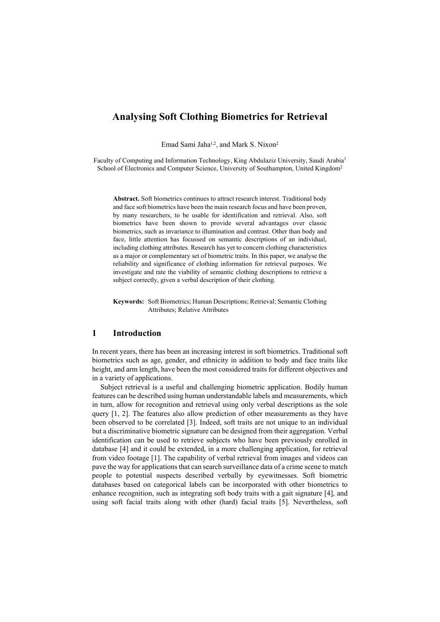# **Analysing Soft Clothing Biometrics for Retrieval**

Emad Sami Jaha<sup>1,2</sup>, and Mark S. Nixon<sup>2</sup>

Faculty of Computing and Information Technology, King Abdulaziz University, Saudi Arabia1 School of Electronics and Computer Science, University of Southampton, United Kingdom<sup>2</sup>

**Abstract.** Soft biometrics continues to attract research interest. Traditional body and face soft biometrics have been the main research focus and have been proven, by many researchers, to be usable for identification and retrieval. Also, soft biometrics have been shown to provide several advantages over classic biometrics, such as invariance to illumination and contrast. Other than body and face, little attention has focussed on semantic descriptions of an individual, including clothing attributes. Research has yet to concern clothing characteristics as a major or complementary set of biometric traits. In this paper, we analyse the reliability and significance of clothing information for retrieval purposes. We investigate and rate the viability of semantic clothing descriptions to retrieve a subject correctly, given a verbal description of their clothing.

**Keywords:** Soft Biometrics; Human Descriptions; Retrieval; Semantic Clothing Attributes; Relative Attributes

### **1 Introduction**

In recent years, there has been an increasing interest in soft biometrics. Traditional soft biometrics such as age, gender, and ethnicity in addition to body and face traits like height, and arm length, have been the most considered traits for different objectives and in a variety of applications.

Subject retrieval is a useful and challenging biometric application. Bodily human features can be described using human understandable labels and measurements, which in turn, allow for recognition and retrieval using only verbal descriptions as the sole query [1, 2]. The features also allow prediction of other measurements as they have been observed to be correlated [3]. Indeed, soft traits are not unique to an individual but a discriminative biometric signature can be designed from their aggregation. Verbal identification can be used to retrieve subjects who have been previously enrolled in database [4] and it could be extended, in a more challenging application, for retrieval from video footage [1]. The capability of verbal retrieval from images and videos can pave the way for applications that can search surveillance data of a crime scene to match people to potential suspects described verbally by eyewitnesses. Soft biometric databases based on categorical labels can be incorporated with other biometrics to enhance recognition, such as integrating soft body traits with a gait signature [4], and using soft facial traits along with other (hard) facial traits [5]. Nevertheless, soft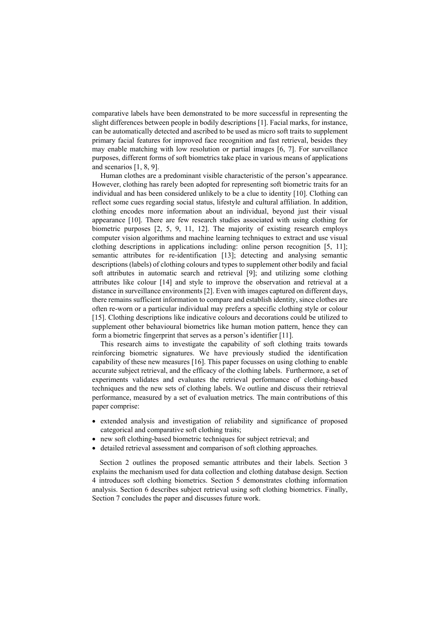comparative labels have been demonstrated to be more successful in representing the slight differences between people in bodily descriptions [1]. Facial marks, for instance, can be automatically detected and ascribed to be used as micro soft traits to supplement primary facial features for improved face recognition and fast retrieval, besides they may enable matching with low resolution or partial images [6, 7]. For surveillance purposes, different forms of soft biometrics take place in various means of applications and scenarios [1, 8, 9].

Human clothes are a predominant visible characteristic of the person's appearance. However, clothing has rarely been adopted for representing soft biometric traits for an individual and has been considered unlikely to be a clue to identity [10]. Clothing can reflect some cues regarding social status, lifestyle and cultural affiliation. In addition, clothing encodes more information about an individual, beyond just their visual appearance [10]. There are few research studies associated with using clothing for biometric purposes [2, 5, 9, 11, 12]. The majority of existing research employs computer vision algorithms and machine learning techniques to extract and use visual clothing descriptions in applications including: online person recognition [5, 11]; semantic attributes for re-identification [13]; detecting and analysing semantic descriptions (labels) of clothing colours and types to supplement other bodily and facial soft attributes in automatic search and retrieval [9]; and utilizing some clothing attributes like colour [14] and style to improve the observation and retrieval at a distance in surveillance environments [2]. Even with images captured on different days, there remains sufficient information to compare and establish identity, since clothes are often re-worn or a particular individual may prefers a specific clothing style or colour [15]. Clothing descriptions like indicative colours and decorations could be utilized to supplement other behavioural biometrics like human motion pattern, hence they can form a biometric fingerprint that serves as a person's identifier [11].

This research aims to investigate the capability of soft clothing traits towards reinforcing biometric signatures. We have previously studied the identification capability of these new measures [16]. This paper focusses on using clothing to enable accurate subject retrieval, and the efficacy of the clothing labels. Furthermore, a set of experiments validates and evaluates the retrieval performance of clothing-based techniques and the new sets of clothing labels. We outline and discuss their retrieval performance, measured by a set of evaluation metrics. The main contributions of this paper comprise:

- extended analysis and investigation of reliability and significance of proposed categorical and comparative soft clothing traits;
- new soft clothing-based biometric techniques for subject retrieval; and
- detailed retrieval assessment and comparison of soft clothing approaches.

Section 2 outlines the proposed semantic attributes and their labels. Section 3 explains the mechanism used for data collection and clothing database design. Section 4 introduces soft clothing biometrics. Section 5 demonstrates clothing information analysis. Section 6 describes subject retrieval using soft clothing biometrics. Finally, Section 7 concludes the paper and discusses future work.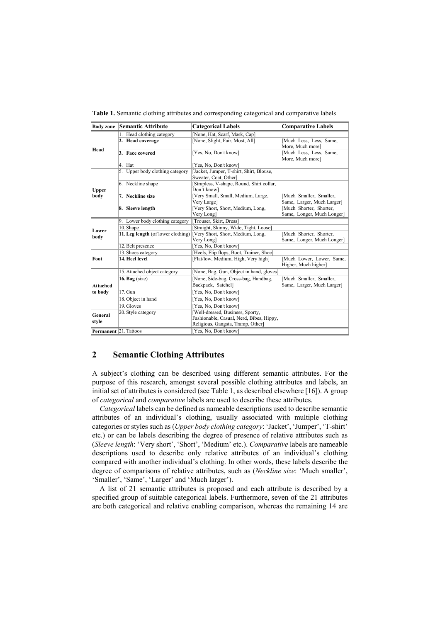| <b>Body zone</b>             | <b>Semantic Attribute</b>          | <b>Categorical Labels</b>                                         | <b>Comparative Labels</b>                             |  |  |
|------------------------------|------------------------------------|-------------------------------------------------------------------|-------------------------------------------------------|--|--|
| Head                         | 1. Head clothing category          | [None, Hat, Scarf, Mask, Cap]                                     |                                                       |  |  |
|                              | 2. Head coverage                   | [None, Slight, Fair, Most, All]                                   | [Much Less, Less, Same,<br>More, Much more]           |  |  |
|                              | 3. Face covered                    | [Yes, No, Don't know]                                             | [Much Less, Less, Same,<br>More, Much more]           |  |  |
|                              | 4. Hat                             | [Yes, No, Don't know]                                             |                                                       |  |  |
| <b>Upper</b><br>body         | 5. Upper body clothing category    | [Jacket, Jumper, T-shirt, Shirt, Blouse,<br>Sweater, Coat, Other] |                                                       |  |  |
|                              | 6. Neckline shape                  | [Strapless, V-shape, Round, Shirt collar,<br>Don't know]          |                                                       |  |  |
|                              | 7. Neckline size                   | [Very Small, Small, Medium, Large,<br>Very Large]                 | [Much Smaller, Smaller,<br>Same, Larger, Much Larger] |  |  |
|                              | 8. Sleeve length                   | [Very Short, Short, Medium, Long,                                 | [Much Shorter, Shorter,                               |  |  |
|                              |                                    | Very Long]                                                        | Same, Longer, Much Longer]                            |  |  |
| Lower                        | 9. Lower body clothing category    | [Trouser, Skirt, Dress]                                           |                                                       |  |  |
|                              | 10. Shape                          | [Straight, Skinny, Wide, Tight, Loose]                            |                                                       |  |  |
| body                         | 11. Leg length (of lower clothing) | [Very Short, Short, Medium, Long,<br>Very Long]                   | [Much Shorter, Shorter,<br>Same, Longer, Much Longer] |  |  |
|                              | 12. Belt presence                  | [Yes, No, Don't know]                                             |                                                       |  |  |
|                              | 13. Shoes category                 | [Heels, Flip flops, Boot, Trainer, Shoe]                          |                                                       |  |  |
| Foot                         | 14. Heel level                     | [Flat/low, Medium, High, Very high]                               | [Much Lower, Lower, Same,<br>Higher, Much higher]     |  |  |
| <b>Attached</b><br>to body   | 15. Attached object category       | [None, Bag, Gun, Object in hand, gloves]                          |                                                       |  |  |
|                              | $16.$ Bag (size)                   | [None, Side-bag, Cross-bag, Handbag,<br>Backpack, Satchel]        | [Much Smaller, Smaller,<br>Same, Larger, Much Larger] |  |  |
|                              | 17. Gun                            | [Yes, No, Don't know]                                             |                                                       |  |  |
|                              | 18. Object in hand                 | [Yes, No, Don't know]                                             |                                                       |  |  |
|                              | 19. Gloves                         | [Yes, No, Don't know]                                             |                                                       |  |  |
| General                      | 20. Style category                 | [Well-dressed, Business, Sporty,                                  |                                                       |  |  |
| style                        |                                    | Fashionable, Casual, Nerd, Bibes, Hippy,                          |                                                       |  |  |
|                              |                                    | Religious, Gangsta, Tramp, Other]                                 |                                                       |  |  |
| <b>Permanent</b> 21. Tattoos |                                    | [Yes, No, Don't know]                                             |                                                       |  |  |

**Table 1.** Semantic clothing attributes and corresponding categorical and comparative labels

# **2 Semantic Clothing Attributes**

A subject's clothing can be described using different semantic attributes. For the purpose of this research, amongst several possible clothing attributes and labels, an initial set of attributes is considered (see Table 1, as described elsewhere [16]). A group of *categorical* and *comparative* labels are used to describe these attributes.

*Categorical* labels can be defined as nameable descriptions used to describe semantic attributes of an individual's clothing, usually associated with multiple clothing categories or styles such as (*Upper body clothing category*: 'Jacket', 'Jumper', 'T-shirt' etc.) or can be labels describing the degree of presence of relative attributes such as (*Sleeve length*: 'Very short', 'Short', 'Medium' etc.). *Comparative* labels are nameable descriptions used to describe only relative attributes of an individual's clothing compared with another individual's clothing. In other words, these labels describe the degree of comparisons of relative attributes, such as (*Neckline size*: 'Much smaller', 'Smaller', 'Same', 'Larger' and 'Much larger').

A list of 21 semantic attributes is proposed and each attribute is described by a specified group of suitable categorical labels. Furthermore, seven of the 21 attributes are both categorical and relative enabling comparison, whereas the remaining 14 are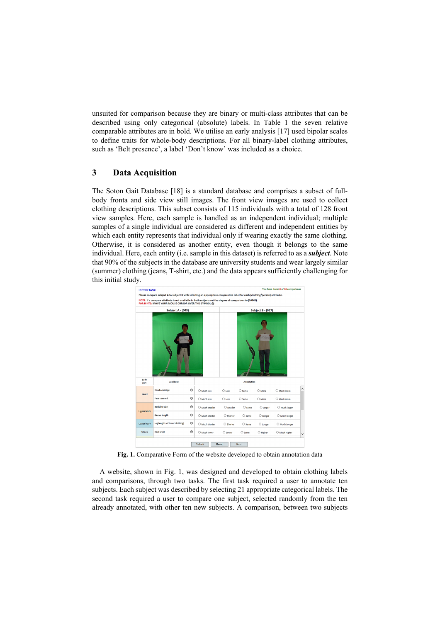unsuited for comparison because they are binary or multi-class attributes that can be described using only categorical (absolute) labels. In Table 1 the seven relative comparable attributes are in bold. We utilise an early analysis [17] used bipolar scales to define traits for whole-body descriptions. For all binary-label clothing attributes, such as 'Belt presence', a label 'Don't know' was included as a choice.

# **3 Data Acquisition**

The Soton Gait Database [18] is a standard database and comprises a subset of fullbody fronta and side view still images. The front view images are used to collect clothing descriptions. This subset consists of 115 individuals with a total of 128 front view samples. Here, each sample is handled as an independent individual; multiple samples of a single individual are considered as different and independent entities by which each entity represents that individual only if wearing exactly the same clothing. Otherwise, it is considered as another entity, even though it belongs to the same individual. Here, each entity (i.e. sample in this dataset) is referred to as a *subject*. Note that 90% of the subjects in the database are university students and wear largely similar (summer) clothing (jeans, T-shirt, etc.) and the data appears sufficiently challenging for this initial study.



**Fig. 1.** Comparative Form of the website developed to obtain annotation data

A website, shown in Fig. 1, was designed and developed to obtain clothing labels and comparisons, through two tasks. The first task required a user to annotate ten subjects. Each subject was described by selecting 21 appropriate categorical labels. The second task required a user to compare one subject, selected randomly from the ten already annotated, with other ten new subjects. A comparison, between two subjects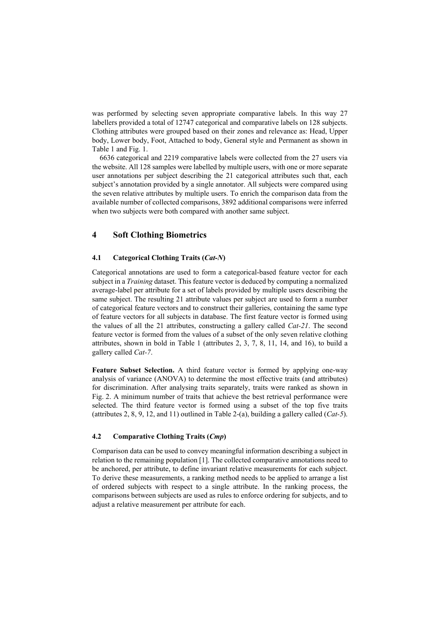was performed by selecting seven appropriate comparative labels. In this way 27 labellers provided a total of 12747 categorical and comparative labels on 128 subjects. Clothing attributes were grouped based on their zones and relevance as: Head, Upper body, Lower body, Foot, Attached to body, General style and Permanent as shown in Table 1 and Fig. 1.

6636 categorical and 2219 comparative labels were collected from the 27 users via the website. All 128 samples were labelled by multiple users, with one or more separate user annotations per subject describing the 21 categorical attributes such that, each subject's annotation provided by a single annotator. All subjects were compared using the seven relative attributes by multiple users. To enrich the comparison data from the available number of collected comparisons, 3892 additional comparisons were inferred when two subjects were both compared with another same subject.

### **4 Soft Clothing Biometrics**

### **4.1 Categorical Clothing Traits (***Cat-N***)**

Categorical annotations are used to form a categorical-based feature vector for each subject in a *Training* dataset. This feature vector is deduced by computing a normalized average-label per attribute for a set of labels provided by multiple users describing the same subject. The resulting 21 attribute values per subject are used to form a number of categorical feature vectors and to construct their galleries, containing the same type of feature vectors for all subjects in database. The first feature vector is formed using the values of all the 21 attributes, constructing a gallery called *Cat-21*. The second feature vector is formed from the values of a subset of the only seven relative clothing attributes, shown in bold in Table 1 (attributes 2, 3, 7, 8, 11, 14, and 16), to build a gallery called *Cat-7*.

**Feature Subset Selection.** A third feature vector is formed by applying one-way analysis of variance (ANOVA) to determine the most effective traits (and attributes) for discrimination. After analysing traits separately, traits were ranked as shown in Fig. 2. A minimum number of traits that achieve the best retrieval performance were selected. The third feature vector is formed using a subset of the top five traits (attributes 2, 8, 9, 12, and 11) outlined in Table 2-(a), building a gallery called (*Cat-5*).

### **4.2 Comparative Clothing Traits (***Cmp***)**

Comparison data can be used to convey meaningful information describing a subject in relation to the remaining population [1]. The collected comparative annotations need to be anchored, per attribute, to define invariant relative measurements for each subject. To derive these measurements, a ranking method needs to be applied to arrange a list of ordered subjects with respect to a single attribute. In the ranking process, the comparisons between subjects are used as rules to enforce ordering for subjects, and to adjust a relative measurement per attribute for each.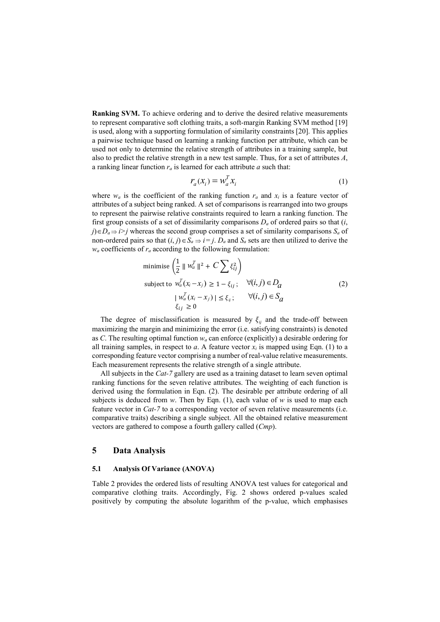**Ranking SVM.** To achieve ordering and to derive the desired relative measurements to represent comparative soft clothing traits, a soft-margin Ranking SVM method [19] is used, along with a supporting formulation of similarity constraints [20]. This applies a pairwise technique based on learning a ranking function per attribute, which can be used not only to determine the relative strength of attributes in a training sample, but also to predict the relative strength in a new test sample. Thus, for a set of attributes *A*, a ranking linear function *ra* is learned for each attribute *a* such that:

$$
r_a(x_i) = w_a^T x_i \tag{1}
$$

where  $w_a$  is the coefficient of the ranking function  $r_a$  and  $x_i$  is a feature vector of attributes of a subject being ranked. A set of comparisons is rearranged into two groups to represent the pairwise relative constraints required to learn a ranking function. The first group consists of a set of dissimilarity comparisons *Da* of ordered pairs so that (*i*,  $j$  $\in$ *D<sub>a</sub>* $\Rightarrow$  *i*>*j* whereas the second group comprises a set of similarity comparisons *S<sub>a</sub>* of non-ordered pairs so that  $(i, j) \in S_a \Rightarrow i = j$ .  $D_a$  and  $S_a$  sets are then utilized to derive the  $w_a$  coefficients of  $r_a$  according to the following formulation:

minimise 
$$
\left(\frac{1}{2} ||w_a^T||^2 + C \sum \xi_{ij}^2\right)
$$
  
\nsubject to  $w_a^T(x_i - x_j) \ge 1 - \xi_{ij}; \quad \forall (i, j) \in D_a$   
\n
$$
|w_a^T(x_i - x_j)| \le \xi_{ij}; \quad \forall (i, j) \in S_a
$$
\n
$$
\xi_{ij} \ge 0
$$
\n(2)

The degree of misclassification is measured by  $\xi_{ij}$  and the trade-off between maximizing the margin and minimizing the error (i.e. satisfying constraints) is denoted as *C*. The resulting optimal function  $w_a$  can enforce (explicitly) a desirable ordering for all training samples, in respect to *a*. A feature vector  $x_i$  is mapped using Eqn. (1) to a corresponding feature vector comprising a number of real-value relative measurements. Each measurement represents the relative strength of a single attribute.

All subjects in the *Cat-7* gallery are used as a training dataset to learn seven optimal ranking functions for the seven relative attributes. The weighting of each function is derived using the formulation in Eqn. (2). The desirable per attribute ordering of all subjects is deduced from  $w$ . Then by Eqn. (1), each value of  $w$  is used to map each feature vector in *Cat-7* to a corresponding vector of seven relative measurements (i.e. comparative traits) describing a single subject. All the obtained relative measurement vectors are gathered to compose a fourth gallery called (*Cmp*).

### **5 Data Analysis**

#### **5.1 Analysis Of Variance (ANOVA)**

Table 2 provides the ordered lists of resulting ANOVA test values for categorical and comparative clothing traits. Accordingly, Fig. 2 shows ordered p-values scaled positively by computing the absolute logarithm of the p-value, which emphasises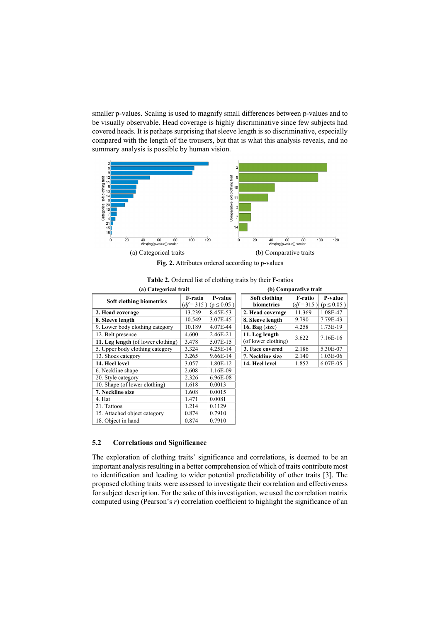smaller p-values. Scaling is used to magnify small differences between p-values and to be visually observable. Head coverage is highly discriminative since few subjects had covered heads. It is perhaps surprising that sleeve length is so discriminative, especially compared with the length of the trousers, but that is what this analysis reveals, and no summary analysis is possible by human vision.



**Fig. 2.** Attributes ordered according to p-values

| (a) Categorical trait              | (b) Comparative trait |                                             |                             |                              |                           |
|------------------------------------|-----------------------|---------------------------------------------|-----------------------------|------------------------------|---------------------------|
| Soft clothing biometrics           | <b>F-ratio</b>        | <b>P-value</b><br>$(df=315)$ $(p \le 0.05)$ | Soft clothing<br>biometrics | <b>F-ratio</b><br>$(df=315)$ | P-value<br>$(p \le 0.05)$ |
| 2. Head coverage                   | 13.239                | 8.45E-53                                    | 2. Head coverage            | 11.369                       | 1.08E-47                  |
| 8. Sleeve length                   | 10.549                | 3.07E-45                                    | 8. Sleeve length            | 9.790                        | 7.79E-43                  |
| 9. Lower body clothing category    | 10.189                | 4.07E-44                                    | 16. Bag $(size)$            | 4.258                        | 1.73E-19                  |
| 12. Belt presence                  | 4.600                 | 2.46E-21                                    | 11. Leg length              | 3.622                        | 7.16E-16                  |
| 11. Leg length (of lower clothing) | 3.478                 | 5.07E-15                                    | (of lower clothing)         |                              |                           |
| 5. Upper body clothing category    | 3.324                 | 4.25E-14                                    | 3. Face covered             | 2.186                        | 5.30E-07                  |
| 13. Shoes category                 | 3.265                 | 9.66E-14                                    | 7. Neckline size            | 2.140                        | 1.03E-06                  |
| 14. Heel level                     | 3.057                 | 1.80E-12                                    | 14. Heel level              | 1.852                        | 6.07E-05                  |
| 6. Neckline shape                  | 2.608                 | 1.16E-09                                    |                             |                              |                           |
| 20. Style category                 | 2.326                 | 6.96E-08                                    |                             |                              |                           |
| 10. Shape (of lower clothing)      | 1.618                 | 0.0013                                      |                             |                              |                           |
| 7. Neckline size                   | 1.608                 | 0.0015                                      |                             |                              |                           |
| 4. Hat                             | 1.471                 | 0.0081                                      |                             |                              |                           |
| 21. Tattoos                        | 1.214                 | 0.1129                                      |                             |                              |                           |
| 15. Attached object category       | 0.874                 | 0.7910                                      |                             |                              |                           |
| 18. Object in hand                 | 0.874                 | 0.7910                                      |                             |                              |                           |

**Table 2.** Ordered list of clothing traits by their F-ratios

| (b) Comparative trait                 |                              |                                  |  |  |  |
|---------------------------------------|------------------------------|----------------------------------|--|--|--|
| Soft clothing<br>biometrics           | <b>F-ratio</b><br>$(df=315)$ | <b>P-value</b><br>$(p \le 0.05)$ |  |  |  |
| 2. Head coverage                      | 11.369                       | 1.08E-47                         |  |  |  |
| 8. Sleeve length                      | 9.790                        | 7.79E-43                         |  |  |  |
| 16. Bag $(size)$                      | 4.258                        | 1.73E-19                         |  |  |  |
| 11. Leg length<br>(of lower clothing) | 3.622                        | 7.16E-16                         |  |  |  |
| 3. Face covered                       | 2.186                        | 5.30E-07                         |  |  |  |
| 7. Neckline size                      | 2.140                        | 1.03E-06                         |  |  |  |
| 14. Heel level                        | 1.852                        | 6.07E-05                         |  |  |  |

#### **5.2 Correlations and Significance**

The exploration of clothing traits' significance and correlations, is deemed to be an important analysis resulting in a better comprehension of which of traits contribute most to identification and leading to wider potential predictability of other traits [3]. The proposed clothing traits were assessed to investigate their correlation and effectiveness for subject description. For the sake of this investigation, we used the correlation matrix computed using (Pearson's *r*) correlation coefficient to highlight the significance of an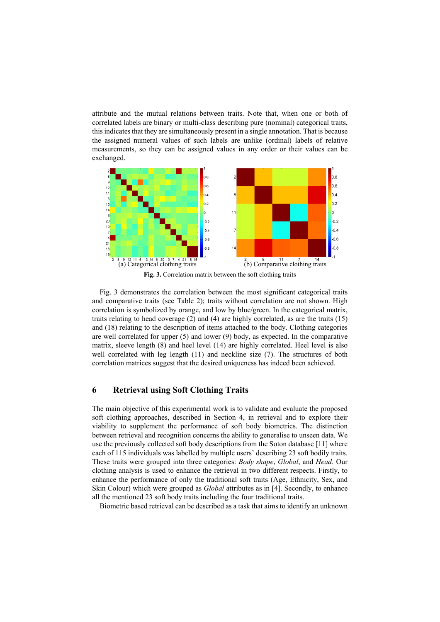attribute and the mutual relations between traits. Note that, when one or both of correlated labels are binary or multi-class describing pure (nominal) categorical traits, this indicates that they are simultaneously present in a single annotation. That is because the assigned numeral values of such labels are unlike (ordinal) labels of relative measurements, so they can be assigned values in any order or their values can be exchanged.



**Fig. 3.** Correlation matrix between the soft clothing traits

Fig. 3 demonstrates the correlation between the most significant categorical traits and comparative traits (see Table 2); traits without correlation are not shown. High correlation is symbolized by orange, and low by blue/green. In the categorical matrix, traits relating to head coverage (2) and (4) are highly correlated, as are the traits (15) and (18) relating to the description of items attached to the body. Clothing categories are well correlated for upper (5) and lower (9) body, as expected. In the comparative matrix, sleeve length (8) and heel level (14) are highly correlated. Heel level is also well correlated with leg length (11) and neckline size (7). The structures of both correlation matrices suggest that the desired uniqueness has indeed been achieved.

## **6 Retrieval using Soft Clothing Traits**

The main objective of this experimental work is to validate and evaluate the proposed soft clothing approaches, described in Section 4, in retrieval and to explore their viability to supplement the performance of soft body biometrics. The distinction between retrieval and recognition concerns the ability to generalise to unseen data. We use the previously collected soft body descriptions from the Soton database [11] where each of 115 individuals was labelled by multiple users' describing 23 soft bodily traits. These traits were grouped into three categories: *Body shape*, *Global*, and *Head*. Our clothing analysis is used to enhance the retrieval in two different respects. Firstly, to enhance the performance of only the traditional soft traits (Age, Ethnicity, Sex, and Skin Colour) which were grouped as *Global* attributes as in [4]. Secondly, to enhance all the mentioned 23 soft body traits including the four traditional traits.

Biometric based retrieval can be described as a task that aims to identify an unknown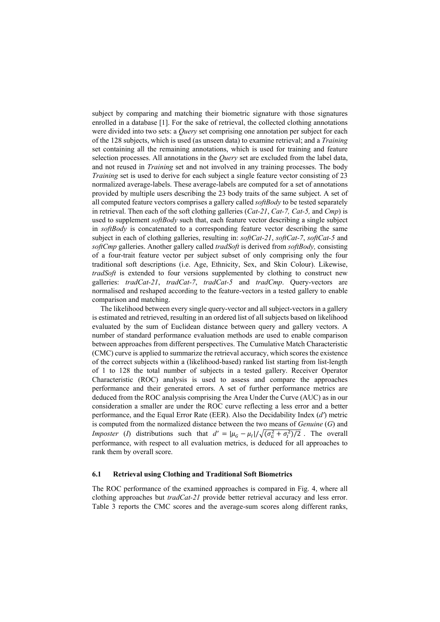subject by comparing and matching their biometric signature with those signatures enrolled in a database [1]. For the sake of retrieval, the collected clothing annotations were divided into two sets: a *Query* set comprising one annotation per subject for each of the 128 subjects, which is used (as unseen data) to examine retrieval; and a *Training* set containing all the remaining annotations, which is used for training and feature selection processes. All annotations in the *Query* set are excluded from the label data, and not reused in *Training* set and not involved in any training processes. The body *Training* set is used to derive for each subject a single feature vector consisting of 23 normalized average-labels. These average-labels are computed for a set of annotations provided by multiple users describing the 23 body traits of the same subject. A set of all computed feature vectors comprises a gallery called *softBody* to be tested separately in retrieval. Then each of the soft clothing galleries (*Cat-21*, *Cat-7, Cat-5,* and *Cmp*) is used to supplement *softBody* such that, each feature vector describing a single subject in *softBody* is concatenated to a corresponding feature vector describing the same subject in each of clothing galleries, resulting in: *softCat-21*, *softCat-7*, *softCat-5* and *softCmp* galleries. Another gallery called *tradSoft* is derived from *softBody,* consisting of a four-trait feature vector per subject subset of only comprising only the four traditional soft descriptions (i.e. Age, Ethnicity, Sex, and Skin Colour). Likewise, *tradSoft* is extended to four versions supplemented by clothing to construct new galleries: *tradCat-21*, *tradCat-7*, *tradCat-5* and *tradCmp*. Query-vectors are normalised and reshaped according to the feature-vectors in a tested gallery to enable comparison and matching.

The likelihood between every single query-vector and all subject-vectors in a gallery is estimated and retrieved, resulting in an ordered list of all subjects based on likelihood evaluated by the sum of Euclidean distance between query and gallery vectors. A number of standard performance evaluation methods are used to enable comparison between approaches from different perspectives. The Cumulative Match Characteristic (CMC) curve is applied to summarize the retrieval accuracy, which scores the existence of the correct subjects within a (likelihood-based) ranked list starting from list-length of 1 to 128 the total number of subjects in a tested gallery. Receiver Operator Characteristic (ROC) analysis is used to assess and compare the approaches performance and their generated errors. A set of further performance metrics are deduced from the ROC analysis comprising the Area Under the Curve (AUC) as in our consideration a smaller are under the ROC curve reflecting a less error and a better performance, and the Equal Error Rate (EER). Also the Decidability Index (*d'*) metric is computed from the normalized distance between the two means of *Genuine* (*G*) and *Imposter* (*I*) distributions such that  $d' = |\mu_G - \mu_I| / \sqrt{(\sigma_G^2 + \sigma_I^2) / 2}$ . The overall performance, with respect to all evaluation metrics, is deduced for all approaches to rank them by overall score.

### **6.1 Retrieval using Clothing and Traditional Soft Biometrics**

The ROC performance of the examined approaches is compared in Fig. 4, where all clothing approaches but *tradCat-21* provide better retrieval accuracy and less error. Table 3 reports the CMC scores and the average-sum scores along different ranks,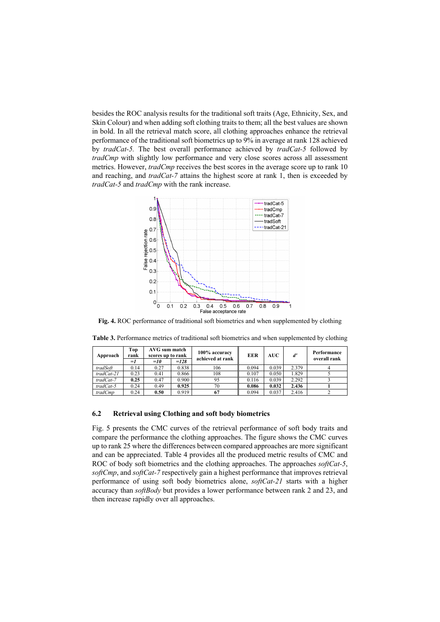besides the ROC analysis results for the traditional soft traits (Age, Ethnicity, Sex, and Skin Colour) and when adding soft clothing traits to them; all the best values are shown in bold. In all the retrieval match score, all clothing approaches enhance the retrieval performance of the traditional soft biometrics up to 9% in average at rank 128 achieved by *tradCat-5.* The best overall performance achieved by *tradCat-5* followed by *tradCmp* with slightly low performance and very close scores across all assessment metrics. However, *tradCmp* receives the best scores in the average score up to rank 10 and reaching, and *tradCat-7* attains the highest score at rank 1, then is exceeded by *tradCat-5* and *tradCmp* with the rank increase.



| Approach   | Top<br>rank | AVG sum match<br>scores up to rank |        | 100% accuracy<br>achieved at rank | EER   | AUC   | $d^{\prime}$ | Performance<br>overall rank |  |
|------------|-------------|------------------------------------|--------|-----------------------------------|-------|-------|--------------|-----------------------------|--|
|            | $=1$        | $=10$                              | $=128$ |                                   |       |       |              |                             |  |
| tradSoft   | 0.14        | 0.27                               | 0.838  | 106                               | 0.094 | 0.039 | 2.379        |                             |  |
| tradCat-21 | 0.23        | 0.41                               | 0.866  | 108                               | 0.107 | 0.050 | 1.829        |                             |  |
| tradCat-7  | 0.25        | 0.47                               | 0.900  | 95                                | 0.116 | 0.039 | 2.292        |                             |  |
| tradCat-5  | 0.24        | 0.49                               | 0.925  | 70                                | 0.086 | 0.032 | 2.436        |                             |  |
| tradCmp    | 0.24        | 0.50                               | 0.919  | 67                                | 0.094 | 0.037 | 2.416        |                             |  |

**Table 3.** Performance metrics of traditional soft biometrics and when supplemented by clothing

#### **6.2 Retrieval using Clothing and soft body biometrics**

Fig. 5 presents the CMC curves of the retrieval performance of soft body traits and compare the performance the clothing approaches. The figure shows the CMC curves up to rank 25 where the differences between compared approaches are more significant and can be appreciated. Table 4 provides all the produced metric results of CMC and ROC of body soft biometrics and the clothing approaches. The approaches *softCat-5*, *softCmp*, and *softCat-7* respectively gain a highest performance that improves retrieval performance of using soft body biometrics alone, *softCat-21* starts with a higher accuracy than *softBody* but provides a lower performance between rank 2 and 23, and then increase rapidly over all approaches.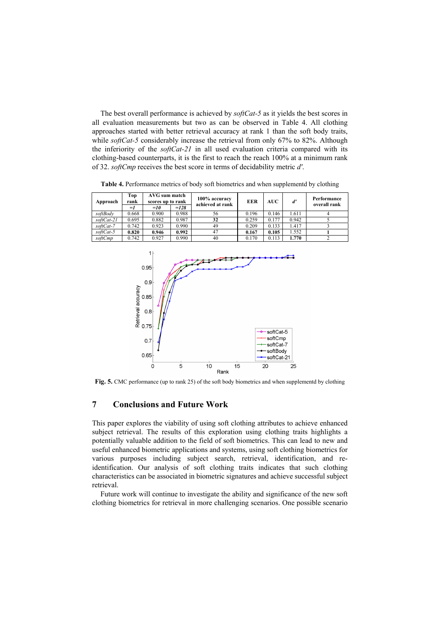The best overall performance is achieved by *softCat-5* as it yields the best scores in all evaluation measurements but two as can be observed in Table 4. All clothing approaches started with better retrieval accuracy at rank 1 than the soft body traits, while *softCat-5* considerably increase the retrieval from only 67% to 82%. Although the inferiority of the *softCat-21* in all used evaluation criteria compared with its clothing-based counterparts, it is the first to reach the reach 100% at a minimum rank of 32. *softCmp* receives the best score in terms of decidability metric *d'*.

**Approach Top rank AVG sum match EXECUTE AVG sum match**<br> **scores up to rank 100% accuracy**<br> **100% accuracy**<br> **100% accuracy ank scores up to rank** 100% accuracy<br>  $=$ *i*  $=$ *i0*  $=$ *i28* achieved at rank **b** EER AUC *d'* **e** overall rank **b** overall rank *softBody* | 0.668 | 0.900 | 0.988 | 56 | 0.196 | 0.146 | 1.611 | 4 *softCat-21* 0.695 0.882 0.987 **32** 0.259 0.177 0.942 5 *softCat-7* | 0.742 | 0.923 | 0.990 | 49 | 0.209 | 0.133 | 1.417 | 3 *softCat-5* **0.820 0.946 0.992** 47 **0.167 0.105** 1.552 **1**  *softCmp* 0.742 0.927 0.990 40 0.170 0.113 **1.770** 2

**Table 4.** Performance metrics of body soft biometrics and when supplementd by clothing



**Fig. 5.** CMC performance (up to rank 25) of the soft body biometrics and when supplementd by clothing

# **7 Conclusions and Future Work**

This paper explores the viability of using soft clothing attributes to achieve enhanced subject retrieval. The results of this exploration using clothing traits highlights a potentially valuable addition to the field of soft biometrics. This can lead to new and useful enhanced biometric applications and systems, using soft clothing biometrics for various purposes including subject search, retrieval, identification, and reidentification. Our analysis of soft clothing traits indicates that such clothing characteristics can be associated in biometric signatures and achieve successful subject retrieval.

Future work will continue to investigate the ability and significance of the new soft clothing biometrics for retrieval in more challenging scenarios. One possible scenario